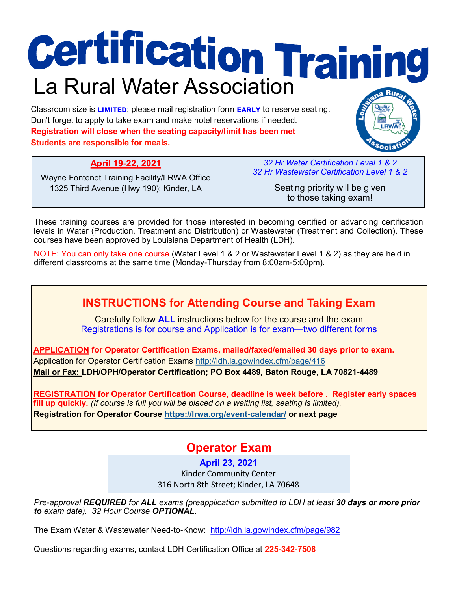# **Certification Training**

Classroom size is **limited**; please mail registration form **early** to reserve seating. Don't forget to apply to take exam and make hotel reservations if needed. **Registration will close when the seating capacity/limit has been met Students are responsible for meals.**

**April 19-22, 2021**

Wayne Fontenot Training Facility/LRWA Office 1325 Third Avenue (Hwy 190); Kinder, LA

*32 Hr Water Certification Level 1 & 2 32 Hr Wastewater Certification Level 1 & 2*

> Seating priority will be given to those taking exam!

These training courses are provided for those interested in becoming certified or advancing certification levels in Water (Production, Treatment and Distribution) or Wastewater (Treatment and Collection). These courses have been approved by Louisiana Department of Health (LDH).

NOTE: You can only take one course (Water Level 1 & 2 or Wastewater Level 1 & 2) as they are held in different classrooms at the same time (Monday-Thursday from 8:00am-5:00pm).

# **INSTRUCTIONS for Attending Course and Taking Exam**

Carefully follow **ALL** instructions below for the course and the exam Registrations is for course and Application is for exam—two different forms

**APPLICATION for Operator Certification Exams, mailed/faxed/emailed 30 days prior to exam.** Application for Operator Certification Exams<http://ldh.la.gov/index.cfm/page/416> **Mail or Fax: LDH/OPH/Operator Certification; PO Box 4489, Baton Rouge, LA 70821-4489** 

**REGISTRATION for Operator Certification Course, deadline is week before . Register early spaces fill up quickly.** *(If course is full you will be placed on a waiting list, seating is limited).* **Registration for Operator Course<https://lrwa.org/event-calendar/> or next page**

# **Operator Exam**

**April 23, 2021** Kinder Community Center 316 North 8th Street; Kinder, LA 70648

*Pre-approval REQUIRED for ALL exams (preapplication submitted to LDH at least 30 days or more prior to exam date). 32 Hour Course OPTIONAL.*

The Exam Water & Wastewater Need-to-Know: <http://ldh.la.gov/index.cfm/page/982>

Questions regarding exams, contact LDH Certification Office at **225-342-7508**